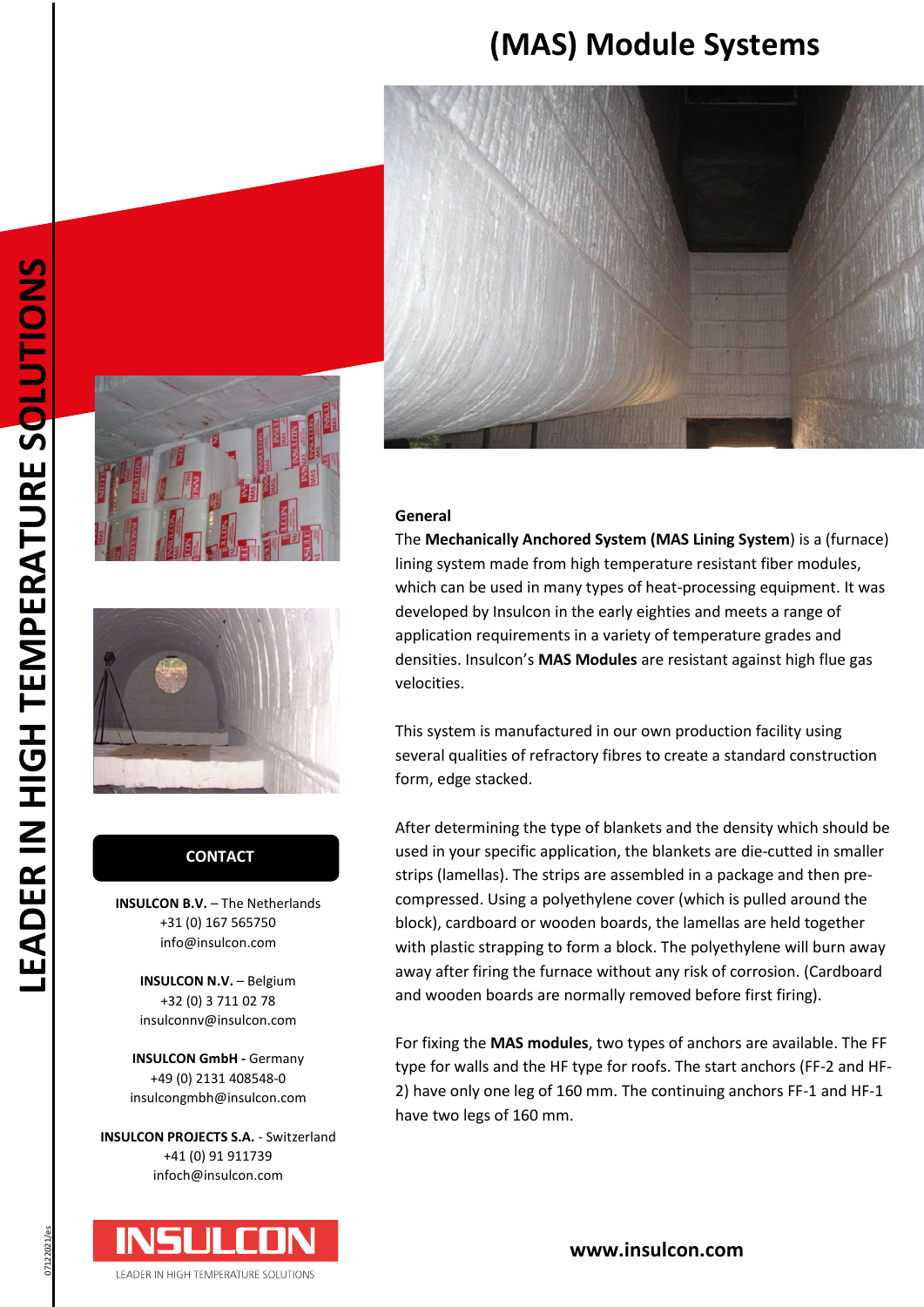# **(MAS) Module Systems**



#### **General**

The **Mechanically Anchored System (MAS Lining System**) is a (furnace) lining system made from high temperature resistant fiber modules, which can be used in many types of heat-processing equipment. It was developed by Insulcon in the early eighties and meets a range of application requirements in a variety of temperature grades and densities. Insulcon's **MAS Modules** are resistant against high flue gas velocities.

This system is manufactured in our own production facility using several qualities of refractory fibres to create a standard construction form, edge stacked.

After determining the type of blankets and the density which should be used in your specific application, the blankets are die-cutted in smaller strips (lamellas). The strips are assembled in a package and then precompressed. Using a polyethylene cover (which is pulled around the block), cardboard or wooden boards, the lamellas are held together with plastic strapping to form a block. The polyethylene will burn away away after firing the furnace without any risk of corrosion. (Cardboard and wooden boards are normally removed before first firing).

For fixing the **MAS modules**, two types of anchors are available. The FF type for walls and the HF type for roofs. The start anchors (FF-2 and HF-2) have only one leg of 160 mm. The continuing anchors FF-1 and HF-1 have two legs of 160 mm.





### **CONTACT CONTACT**

**INSULCON B.V.** - The Netherlands +31 (0) 167 565750 info@insulcon.com

> **INSULCON N.V. - Belgium** +32 (0) 3 711 02 78 insulconnv@insulcon.com

**INSULCON GmbH -** Germany +49 (0) 2131 408548-0 insulcongmbh@insulcon.com

**INSULCON PROJECTS S.A.** - Switzerland +41 (0) 91 911739 infoch@insulcon.com